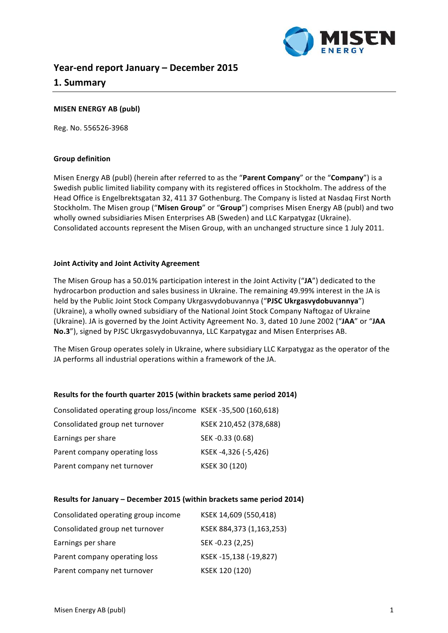

# **Year-end report January – December 2015**

# **1. Summary**

# **MISEN ENERGY AB (publ)**

Reg. No. 556526-3968

# **Group definition**

Misen Energy AB (publ) (herein after referred to as the "Parent Company" or the "Company") is a Swedish public limited liability company with its registered offices in Stockholm. The address of the Head Office is Engelbrektsgatan 32, 411 37 Gothenburg. The Company is listed at Nasdaq First North Stockholm. The Misen group ("Misen Group" or "Group") comprises Misen Energy AB (publ) and two wholly owned subsidiaries Misen Enterprises AB (Sweden) and LLC Karpatygaz (Ukraine). Consolidated accounts represent the Misen Group, with an unchanged structure since 1 July 2011.

# **Joint Activity and Joint Activity Agreement**

The Misen Group has a 50.01% participation interest in the Joint Activity ("JA") dedicated to the hydrocarbon production and sales business in Ukraine. The remaining 49.99% interest in the JA is held by the Public Joint Stock Company Ukrgasvydobuvannya ("PJSC Ukrgasvydobuvannya") (Ukraine), a wholly owned subsidiary of the National Joint Stock Company Naftogaz of Ukraine (Ukraine). JA is governed by the Joint Activity Agreement No. 3, dated 10 June 2002 ("JAA" or "JAA No.3"), signed by PJSC Ukrgasvydobuvannya, LLC Karpatygaz and Misen Enterprises AB.

The Misen Group operates solely in Ukraine, where subsidiary LLC Karpatygaz as the operator of the JA performs all industrial operations within a framework of the JA.

# **Results for the fourth quarter 2015 (within brackets same period 2014)**

| Consolidated operating group loss/income KSEK-35,500 (160,618) |                        |
|----------------------------------------------------------------|------------------------|
| Consolidated group net turnover                                | KSEK 210,452 (378,688) |
| Earnings per share                                             | SEK-0.33 (0.68)        |
| Parent company operating loss                                  | KSEK-4,326 (-5,426)    |
| Parent company net turnover                                    | KSEK 30 (120)          |

# **Results for January – December 2015 (within brackets same period 2014)**

| Consolidated operating group income | KSEK 14,609 (550,418)    |
|-------------------------------------|--------------------------|
| Consolidated group net turnover     | KSEK 884,373 (1,163,253) |
| Earnings per share                  | SEK-0.23 (2,25)          |
| Parent company operating loss       | KSEK-15,138 (-19,827)    |
| Parent company net turnover         | KSEK 120 (120)           |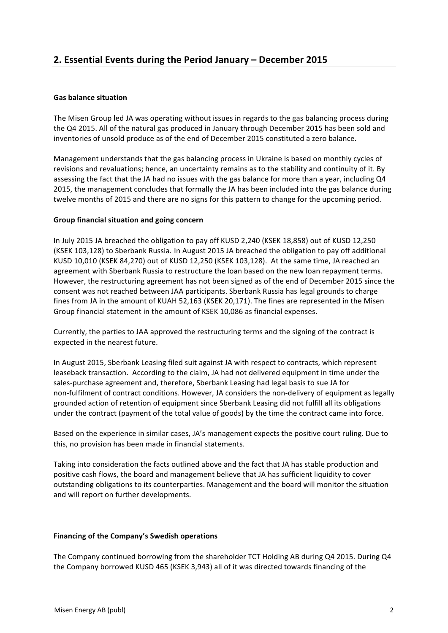# **Gas balance situation**

The Misen Group led JA was operating without issues in regards to the gas balancing process during the Q4 2015. All of the natural gas produced in January through December 2015 has been sold and inventories of unsold produce as of the end of December 2015 constituted a zero balance.

Management understands that the gas balancing process in Ukraine is based on monthly cycles of revisions and revaluations; hence, an uncertainty remains as to the stability and continuity of it. By assessing the fact that the JA had no issues with the gas balance for more than a vear, including Q4 2015, the management concludes that formally the JA has been included into the gas balance during twelve months of 2015 and there are no signs for this pattern to change for the upcoming period.

# Group financial situation and going concern

In July 2015 JA breached the obligation to pay off KUSD 2,240 (KSEK 18,858) out of KUSD 12,250 (KSEK 103,128) to Sberbank Russia. In August 2015 JA breached the obligation to pay off additional KUSD 10,010 (KSEK 84,270) out of KUSD 12,250 (KSEK 103,128). At the same time, JA reached an agreement with Sberbank Russia to restructure the loan based on the new loan repayment terms. However, the restructuring agreement has not been signed as of the end of December 2015 since the consent was not reached between JAA participants. Sberbank Russia has legal grounds to charge fines from JA in the amount of KUAH 52,163 (KSEK 20,171). The fines are represented in the Misen Group financial statement in the amount of KSEK 10,086 as financial expenses.

Currently, the parties to JAA approved the restructuring terms and the signing of the contract is expected in the nearest future.

In August 2015, Sberbank Leasing filed suit against JA with respect to contracts, which represent leaseback transaction. According to the claim, JA had not delivered equipment in time under the sales-purchase agreement and, therefore, Sberbank Leasing had legal basis to sue JA for non-fulfilment of contract conditions. However, JA considers the non-delivery of equipment as legally grounded action of retention of equipment since Sberbank Leasing did not fulfill all its obligations under the contract (payment of the total value of goods) by the time the contract came into force.

Based on the experience in similar cases, JA's management expects the positive court ruling. Due to this, no provision has been made in financial statements.

Taking into consideration the facts outlined above and the fact that JA has stable production and positive cash flows, the board and management believe that JA has sufficient liquidity to cover outstanding obligations to its counterparties. Management and the board will monitor the situation and will report on further developments.

# **Financing of the Company's Swedish operations**

The Company continued borrowing from the shareholder TCT Holding AB during Q4 2015. During Q4 the Company borrowed KUSD 465 (KSEK 3,943) all of it was directed towards financing of the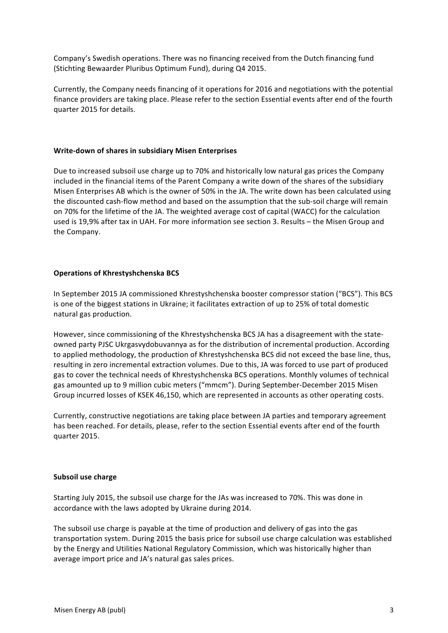Company's Swedish operations. There was no financing received from the Dutch financing fund (Stichting Bewaarder Pluribus Optimum Fund), during Q4 2015.

Currently, the Company needs financing of it operations for 2016 and negotiations with the potential finance providers are taking place. Please refer to the section Essential events after end of the fourth quarter 2015 for details.

# **Write-down of shares in subsidiary Misen Enterprises**

Due to increased subsoil use charge up to 70% and historically low natural gas prices the Company included in the financial items of the Parent Company a write down of the shares of the subsidiary Misen Enterprises AB which is the owner of 50% in the JA. The write down has been calculated using the discounted cash-flow method and based on the assumption that the sub-soil charge will remain on 70% for the lifetime of the JA. The weighted average cost of capital (WACC) for the calculation used is 19,9% after tax in UAH. For more information see section 3. Results – the Misen Group and the Company.

# **Operations of Khrestyshchenska BCS**

In September 2015 JA commissioned Khrestyshchenska booster compressor station ("BCS"). This BCS is one of the biggest stations in Ukraine; it facilitates extraction of up to 25% of total domestic natural gas production.

However, since commissioning of the Khrestyshchenska BCS JA has a disagreement with the stateowned party PJSC Ukrgasvydobuvannya as for the distribution of incremental production. According to applied methodology, the production of Khrestyshchenska BCS did not exceed the base line, thus, resulting in zero incremental extraction volumes. Due to this, JA was forced to use part of produced gas to cover the technical needs of Khrestyshchenska BCS operations. Monthly volumes of technical gas amounted up to 9 million cubic meters ("mmcm"). During September-December 2015 Misen Group incurred losses of KSEK 46,150, which are represented in accounts as other operating costs.

Currently, constructive negotiations are taking place between JA parties and temporary agreement has been reached. For details, please, refer to the section Essential events after end of the fourth quarter 2015.

#### **Subsoil use charge**

Starting July 2015, the subsoil use charge for the JAs was increased to 70%. This was done in accordance with the laws adopted by Ukraine during 2014.

The subsoil use charge is payable at the time of production and delivery of gas into the gas transportation system. During 2015 the basis price for subsoil use charge calculation was established by the Energy and Utilities National Regulatory Commission, which was historically higher than average import price and JA's natural gas sales prices.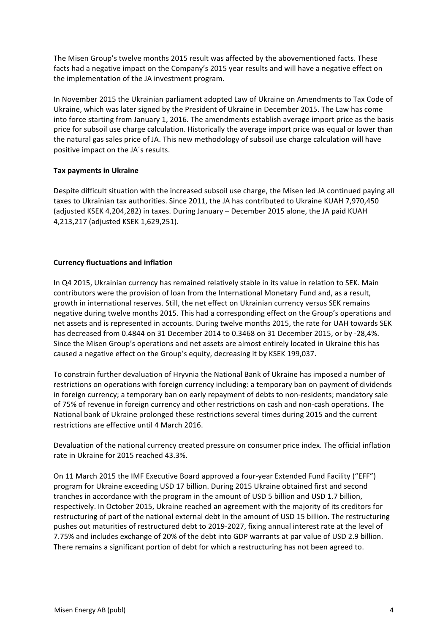The Misen Group's twelve months 2015 result was affected by the abovementioned facts. These facts had a negative impact on the Company's 2015 year results and will have a negative effect on the implementation of the JA investment program.

In November 2015 the Ukrainian parliament adopted Law of Ukraine on Amendments to Tax Code of Ukraine, which was later signed by the President of Ukraine in December 2015. The Law has come into force starting from January 1, 2016. The amendments establish average import price as the basis price for subsoil use charge calculation. Historically the average import price was equal or lower than the natural gas sales price of JA. This new methodology of subsoil use charge calculation will have positive impact on the JA's results.

# **Tax payments in Ukraine**

Despite difficult situation with the increased subsoil use charge, the Misen led JA continued paying all taxes to Ukrainian tax authorities. Since 2011, the JA has contributed to Ukraine KUAH 7,970,450 (adjusted KSEK 4,204,282) in taxes. During January – December 2015 alone, the JA paid KUAH 4,213,217 (adjusted KSEK 1,629,251).

# **Currency fluctuations and inflation**

In Q4 2015, Ukrainian currency has remained relatively stable in its value in relation to SEK. Main contributors were the provision of loan from the International Monetary Fund and, as a result, growth in international reserves. Still, the net effect on Ukrainian currency versus SEK remains negative during twelve months 2015. This had a corresponding effect on the Group's operations and net assets and is represented in accounts. During twelve months 2015, the rate for UAH towards SEK has decreased from 0.4844 on 31 December 2014 to 0.3468 on 31 December 2015, or by -28,4%. Since the Misen Group's operations and net assets are almost entirely located in Ukraine this has caused a negative effect on the Group's equity, decreasing it by KSEK 199,037.

To constrain further devaluation of Hryvnia the National Bank of Ukraine has imposed a number of restrictions on operations with foreign currency including: a temporary ban on payment of dividends in foreign currency; a temporary ban on early repayment of debts to non-residents; mandatory sale of 75% of revenue in foreign currency and other restrictions on cash and non-cash operations. The National bank of Ukraine prolonged these restrictions several times during 2015 and the current restrictions are effective until 4 March 2016.

Devaluation of the national currency created pressure on consumer price index. The official inflation rate in Ukraine for 2015 reached 43.3%.

On 11 March 2015 the IMF Executive Board approved a four-year Extended Fund Facility ("EFF") program for Ukraine exceeding USD 17 billion. During 2015 Ukraine obtained first and second tranches in accordance with the program in the amount of USD 5 billion and USD 1.7 billion, respectively. In October 2015, Ukraine reached an agreement with the majority of its creditors for restructuring of part of the national external debt in the amount of USD 15 billion. The restructuring pushes out maturities of restructured debt to 2019-2027, fixing annual interest rate at the level of 7.75% and includes exchange of 20% of the debt into GDP warrants at par value of USD 2.9 billion. There remains a significant portion of debt for which a restructuring has not been agreed to.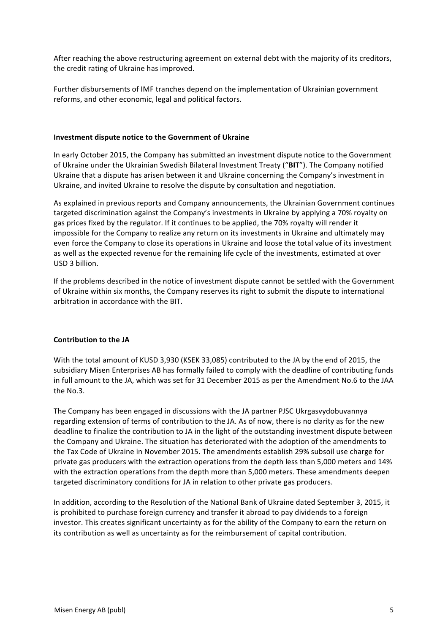After reaching the above restructuring agreement on external debt with the majority of its creditors, the credit rating of Ukraine has improved.

Further disbursements of IMF tranches depend on the implementation of Ukrainian government reforms, and other economic, legal and political factors.

# **Investment dispute notice to the Government of Ukraine**

In early October 2015, the Company has submitted an investment dispute notice to the Government of Ukraine under the Ukrainian Swedish Bilateral Investment Treaty ("BIT"). The Company notified Ukraine that a dispute has arisen between it and Ukraine concerning the Company's investment in Ukraine, and invited Ukraine to resolve the dispute by consultation and negotiation.

As explained in previous reports and Company announcements, the Ukrainian Government continues targeted discrimination against the Company's investments in Ukraine by applying a 70% royalty on gas prices fixed by the regulator. If it continues to be applied, the 70% royalty will render it impossible for the Company to realize any return on its investments in Ukraine and ultimately may even force the Company to close its operations in Ukraine and loose the total value of its investment as well as the expected revenue for the remaining life cycle of the investments, estimated at over USD 3 billion.

If the problems described in the notice of investment dispute cannot be settled with the Government of Ukraine within six months, the Company reserves its right to submit the dispute to international arbitration in accordance with the BIT.

# **Contribution to the JA**

With the total amount of KUSD 3,930 (KSEK 33,085) contributed to the JA by the end of 2015, the subsidiary Misen Enterprises AB has formally failed to comply with the deadline of contributing funds in full amount to the JA, which was set for 31 December 2015 as per the Amendment No.6 to the JAA the No.3.

The Company has been engaged in discussions with the JA partner PJSC Ukrgasvydobuvannya regarding extension of terms of contribution to the JA. As of now, there is no clarity as for the new deadline to finalize the contribution to JA in the light of the outstanding investment dispute between the Company and Ukraine. The situation has deteriorated with the adoption of the amendments to the Tax Code of Ukraine in November 2015. The amendments establish 29% subsoil use charge for private gas producers with the extraction operations from the depth less than 5,000 meters and 14% with the extraction operations from the depth more than 5,000 meters. These amendments deepen targeted discriminatory conditions for JA in relation to other private gas producers.

In addition, according to the Resolution of the National Bank of Ukraine dated September 3, 2015, it is prohibited to purchase foreign currency and transfer it abroad to pay dividends to a foreign investor. This creates significant uncertainty as for the ability of the Company to earn the return on its contribution as well as uncertainty as for the reimbursement of capital contribution.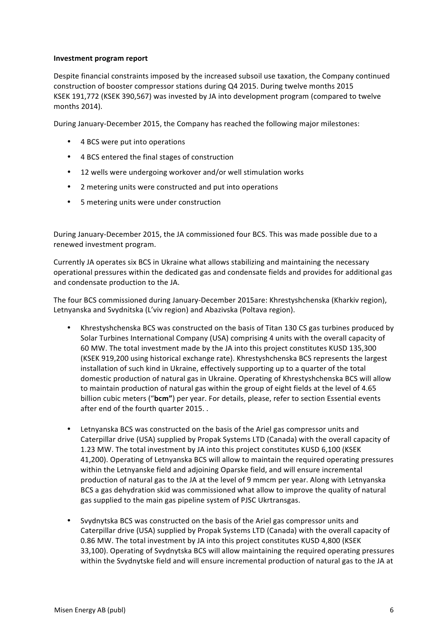# **Investment program report**

Despite financial constraints imposed by the increased subsoil use taxation, the Company continued construction of booster compressor stations during Q4 2015. During twelve months 2015 KSEK 191,772 (KSEK 390,567) was invested by JA into development program (compared to twelve months 2014).

During January-December 2015, the Company has reached the following major milestones:

- 4 BCS were put into operations
- 4 BCS entered the final stages of construction
- 12 wells were undergoing workover and/or well stimulation works
- 2 metering units were constructed and put into operations
- 5 metering units were under construction

During January-December 2015, the JA commissioned four BCS. This was made possible due to a renewed investment program.

Currently JA operates six BCS in Ukraine what allows stabilizing and maintaining the necessary operational pressures within the dedicated gas and condensate fields and provides for additional gas and condensate production to the JA.

The four BCS commissioned during January-December 2015are: Khrestyshchenska (Kharkiv region), Letnyanska and Svydnitska (L'viv region) and Abazivska (Poltava region).

- Khrestyshchenska BCS was constructed on the basis of Titan 130 CS gas turbines produced by Solar Turbines International Company (USA) comprising 4 units with the overall capacity of 60 MW. The total investment made by the JA into this project constitutes KUSD 135,300 (KSEK 919,200 using historical exchange rate). Khrestyshchenska BCS represents the largest installation of such kind in Ukraine, effectively supporting up to a quarter of the total domestic production of natural gas in Ukraine. Operating of Khrestyshchenska BCS will allow to maintain production of natural gas within the group of eight fields at the level of 4.65 billion cubic meters ("bcm") per year. For details, please, refer to section Essential events after end of the fourth quarter 2015. .
- Letnyanska BCS was constructed on the basis of the Ariel gas compressor units and Caterpillar drive (USA) supplied by Propak Systems LTD (Canada) with the overall capacity of 1.23 MW. The total investment by JA into this project constitutes KUSD 6,100 (KSEK 41,200). Operating of Letnyanska BCS will allow to maintain the required operating pressures within the Letnyanske field and adjoining Oparske field, and will ensure incremental production of natural gas to the JA at the level of 9 mmcm per year. Along with Letnyanska BCS a gas dehydration skid was commissioned what allow to improve the quality of natural gas supplied to the main gas pipeline system of PJSC Ukrtransgas.
- Svydnytska BCS was constructed on the basis of the Ariel gas compressor units and Caterpillar drive (USA) supplied by Propak Systems LTD (Canada) with the overall capacity of 0.86 MW. The total investment by JA into this project constitutes KUSD 4,800 (KSEK 33,100). Operating of Svydnytska BCS will allow maintaining the required operating pressures within the Svydnytske field and will ensure incremental production of natural gas to the JA at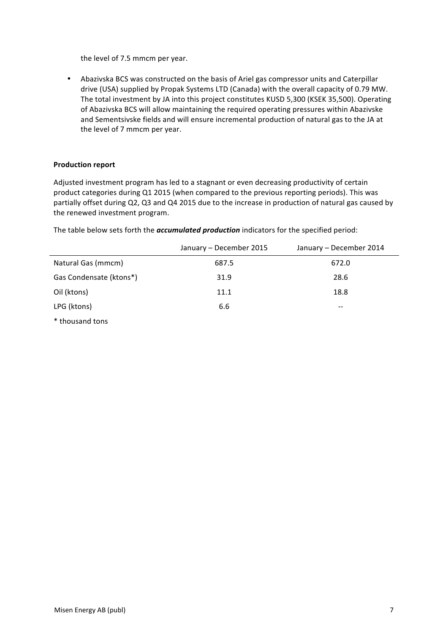the level of 7.5 mmcm per year.

• Abazivska BCS was constructed on the basis of Ariel gas compressor units and Caterpillar drive (USA) supplied by Propak Systems LTD (Canada) with the overall capacity of 0.79 MW. The total investment by JA into this project constitutes KUSD 5,300 (KSEK 35,500). Operating of Abazivska BCS will allow maintaining the required operating pressures within Abazivske and Sementsivske fields and will ensure incremental production of natural gas to the JA at the level of 7 mmcm per year.

# **Production report**

Adjusted investment program has led to a stagnant or even decreasing productivity of certain product categories during Q1 2015 (when compared to the previous reporting periods). This was partially offset during Q2, Q3 and Q4 2015 due to the increase in production of natural gas caused by the renewed investment program.

The table below sets forth the *accumulated production* indicators for the specified period:

|                         | January - December 2015 | January - December 2014 |
|-------------------------|-------------------------|-------------------------|
| Natural Gas (mmcm)      | 687.5                   | 672.0                   |
| Gas Condensate (ktons*) | 31.9                    | 28.6                    |
| Oil (ktons)             | 11.1                    | 18.8                    |
| LPG (ktons)             | 6.6                     | --                      |
| * thousand tons         |                         |                         |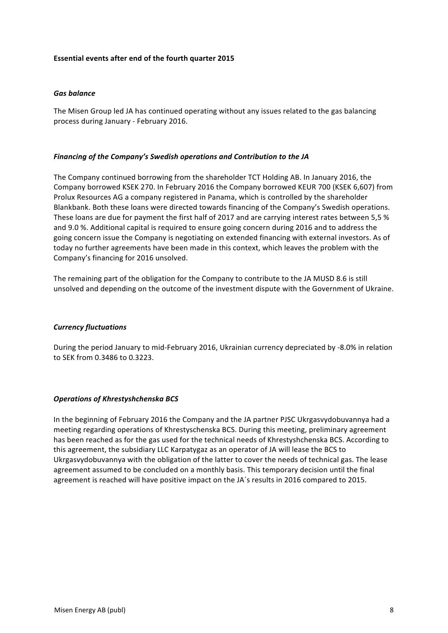# **Essential events after end of the fourth quarter 2015**

# *Gas balance*

The Misen Group led JA has continued operating without any issues related to the gas balancing process during January - February 2016.

## *Financing of the Company's Swedish operations and Contribution to the JA*

The Company continued borrowing from the shareholder TCT Holding AB. In January 2016, the Company borrowed KSEK 270. In February 2016 the Company borrowed KEUR 700 (KSEK 6,607) from Prolux Resources AG a company registered in Panama, which is controlled by the shareholder Blankbank. Both these loans were directed towards financing of the Company's Swedish operations. These loans are due for payment the first half of 2017 and are carrying interest rates between 5,5 % and 9.0 %. Additional capital is required to ensure going concern during 2016 and to address the going concern issue the Company is negotiating on extended financing with external investors. As of today no further agreements have been made in this context, which leaves the problem with the Company's financing for 2016 unsolved.

The remaining part of the obligation for the Company to contribute to the JA MUSD 8.6 is still unsolved and depending on the outcome of the investment dispute with the Government of Ukraine.

#### *Currency fluctuations*

During the period January to mid-February 2016, Ukrainian currency depreciated by -8.0% in relation to SEK from 0.3486 to 0.3223.

# *Operations of Khrestyshchenska BCS*

In the beginning of February 2016 the Company and the JA partner PJSC Ukrgasvydobuvannya had a meeting regarding operations of Khrestyschenska BCS. During this meeting, preliminary agreement has been reached as for the gas used for the technical needs of Khrestyshchenska BCS. According to this agreement, the subsidiary LLC Karpatygaz as an operator of JA will lease the BCS to Ukrgasvydobuvannya with the obligation of the latter to cover the needs of technical gas. The lease agreement assumed to be concluded on a monthly basis. This temporary decision until the final agreement is reached will have positive impact on the JA's results in 2016 compared to 2015.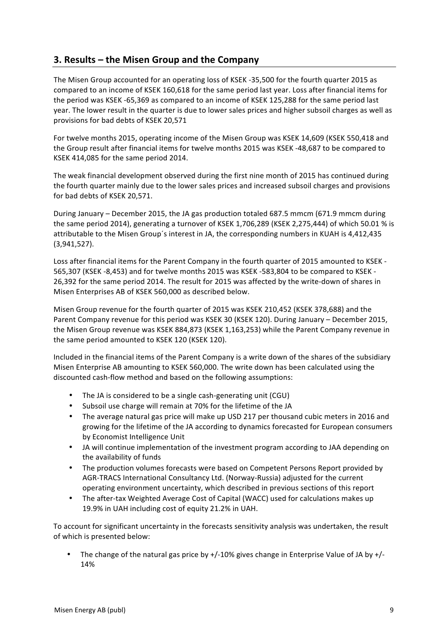# **3. Results – the Misen Group and the Company**

The Misen Group accounted for an operating loss of KSEK -35,500 for the fourth quarter 2015 as compared to an income of KSEK 160,618 for the same period last year. Loss after financial items for the period was KSEK -65,369 as compared to an income of KSEK 125,288 for the same period last year. The lower result in the quarter is due to lower sales prices and higher subsoil charges as well as provisions for bad debts of KSEK 20,571

For twelve months 2015, operating income of the Misen Group was KSEK 14,609 (KSEK 550,418 and the Group result after financial items for twelve months 2015 was KSEK -48,687 to be compared to KSEK 414,085 for the same period 2014.

The weak financial development observed during the first nine month of 2015 has continued during the fourth quarter mainly due to the lower sales prices and increased subsoil charges and provisions for bad debts of KSEK 20,571.

During January – December 2015, the JA gas production totaled 687.5 mmcm (671.9 mmcm during the same period 2014), generating a turnover of KSEK 1,706,289 (KSEK 2,275,444) of which 50.01 % is attributable to the Misen Group's interest in JA, the corresponding numbers in KUAH is 4,412,435 (3,941,527).

Loss after financial items for the Parent Company in the fourth quarter of 2015 amounted to KSEK -565,307 (KSEK -8,453) and for twelve months 2015 was KSEK -583,804 to be compared to KSEK -26,392 for the same period 2014. The result for 2015 was affected by the write-down of shares in Misen Enterprises AB of KSEK 560,000 as described below.

Misen Group revenue for the fourth quarter of 2015 was KSEK 210,452 (KSEK 378,688) and the Parent Company revenue for this period was KSEK 30 (KSEK 120). During January – December 2015, the Misen Group revenue was KSEK 884,873 (KSEK 1,163,253) while the Parent Company revenue in the same period amounted to KSEK 120 (KSEK 120).

Included in the financial items of the Parent Company is a write down of the shares of the subsidiary Misen Enterprise AB amounting to KSEK 560,000. The write down has been calculated using the discounted cash-flow method and based on the following assumptions:

- The JA is considered to be a single cash-generating unit (CGU)
- Subsoil use charge will remain at 70% for the lifetime of the JA
- The average natural gas price will make up USD 217 per thousand cubic meters in 2016 and growing for the lifetime of the JA according to dynamics forecasted for European consumers by Economist Intelligence Unit
- JA will continue implementation of the investment program according to JAA depending on the availability of funds
- The production volumes forecasts were based on Competent Persons Report provided by AGR-TRACS International Consultancy Ltd. (Norway-Russia) adjusted for the current operating environment uncertainty, which described in previous sections of this report
- The after-tax Weighted Average Cost of Capital (WACC) used for calculations makes up 19.9% in UAH including cost of equity 21.2% in UAH.

To account for significant uncertainty in the forecasts sensitivity analysis was undertaken, the result of which is presented below:

• The change of the natural gas price by  $+/-10\%$  gives change in Enterprise Value of JA by  $+/-$ 14%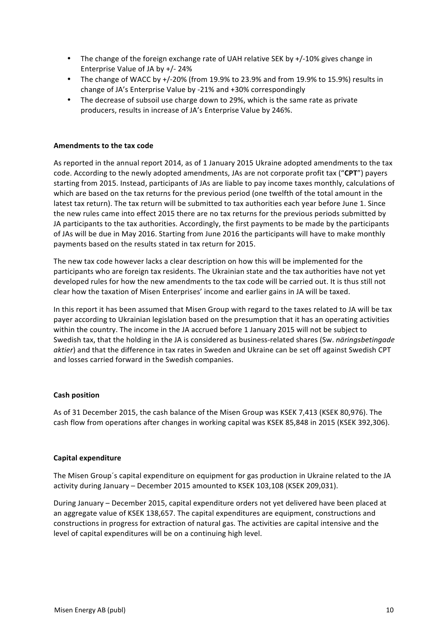- The change of the foreign exchange rate of UAH relative SEK by  $+/-10\%$  gives change in Enterprise Value of JA by  $+/- 24%$
- The change of WACC by  $+/-20\%$  (from 19.9% to 23.9% and from 19.9% to 15.9%) results in change of JA's Enterprise Value by -21% and +30% correspondingly
- The decrease of subsoil use charge down to 29%, which is the same rate as private producers, results in increase of JA's Enterprise Value by 246%.

# **Amendments to the tax code**

As reported in the annual report 2014, as of 1 January 2015 Ukraine adopted amendments to the tax code. According to the newly adopted amendments, JAs are not corporate profit tax ("CPT") payers starting from 2015. Instead, participants of JAs are liable to pay income taxes monthly, calculations of which are based on the tax returns for the previous period (one twelfth of the total amount in the latest tax return). The tax return will be submitted to tax authorities each year before June 1. Since the new rules came into effect 2015 there are no tax returns for the previous periods submitted by JA participants to the tax authorities. Accordingly, the first payments to be made by the participants of JAs will be due in May 2016. Starting from June 2016 the participants will have to make monthly payments based on the results stated in tax return for 2015.

The new tax code however lacks a clear description on how this will be implemented for the participants who are foreign tax residents. The Ukrainian state and the tax authorities have not yet developed rules for how the new amendments to the tax code will be carried out. It is thus still not clear how the taxation of Misen Enterprises' income and earlier gains in JA will be taxed.

In this report it has been assumed that Misen Group with regard to the taxes related to JA will be tax payer according to Ukrainian legislation based on the presumption that it has an operating activities within the country. The income in the JA accrued before 1 January 2015 will not be subject to Swedish tax, that the holding in the JA is considered as business-related shares (Sw. *näringsbetingade* aktier) and that the difference in tax rates in Sweden and Ukraine can be set off against Swedish CPT and losses carried forward in the Swedish companies.

#### **Cash position**

As of 31 December 2015, the cash balance of the Misen Group was KSEK 7,413 (KSEK 80,976). The cash flow from operations after changes in working capital was KSEK 85,848 in 2015 (KSEK 392,306).

#### **Capital expenditure**

The Misen Group's capital expenditure on equipment for gas production in Ukraine related to the JA activity during January – December 2015 amounted to KSEK 103,108 (KSEK 209,031).

During January – December 2015, capital expenditure orders not yet delivered have been placed at an aggregate value of KSEK 138,657. The capital expenditures are equipment, constructions and constructions in progress for extraction of natural gas. The activities are capital intensive and the level of capital expenditures will be on a continuing high level.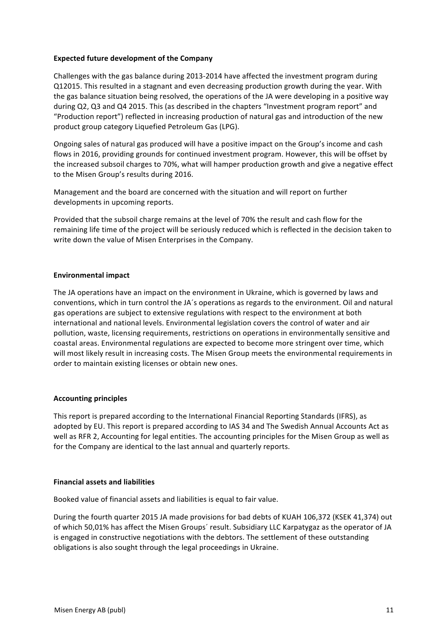# **Expected future development of the Company**

Challenges with the gas balance during 2013-2014 have affected the investment program during Q12015. This resulted in a stagnant and even decreasing production growth during the year. With the gas balance situation being resolved, the operations of the JA were developing in a positive way during Q2, Q3 and Q4 2015. This (as described in the chapters "Investment program report" and "Production report") reflected in increasing production of natural gas and introduction of the new product group category Liquefied Petroleum Gas (LPG).

Ongoing sales of natural gas produced will have a positive impact on the Group's income and cash flows in 2016, providing grounds for continued investment program. However, this will be offset by the increased subsoil charges to 70%, what will hamper production growth and give a negative effect to the Misen Group's results during 2016.

Management and the board are concerned with the situation and will report on further developments in upcoming reports.

Provided that the subsoil charge remains at the level of 70% the result and cash flow for the remaining life time of the project will be seriously reduced which is reflected in the decision taken to write down the value of Misen Enterprises in the Company.

# **Environmental impact**

The JA operations have an impact on the environment in Ukraine, which is governed by laws and conventions, which in turn control the JA's operations as regards to the environment. Oil and natural gas operations are subject to extensive regulations with respect to the environment at both international and national levels. Environmental legislation covers the control of water and air pollution, waste, licensing requirements, restrictions on operations in environmentally sensitive and coastal areas. Environmental regulations are expected to become more stringent over time, which will most likely result in increasing costs. The Misen Group meets the environmental requirements in order to maintain existing licenses or obtain new ones.

# **Accounting principles**

This report is prepared according to the International Financial Reporting Standards (IFRS), as adopted by EU. This report is prepared according to IAS 34 and The Swedish Annual Accounts Act as well as RFR 2, Accounting for legal entities. The accounting principles for the Misen Group as well as for the Company are identical to the last annual and quarterly reports.

#### **Financial assets and liabilities**

Booked value of financial assets and liabilities is equal to fair value.

During the fourth quarter 2015 JA made provisions for bad debts of KUAH 106,372 (KSEK 41,374) out of which 50,01% has affect the Misen Groups' result. Subsidiary LLC Karpatygaz as the operator of JA is engaged in constructive negotiations with the debtors. The settlement of these outstanding obligations is also sought through the legal proceedings in Ukraine.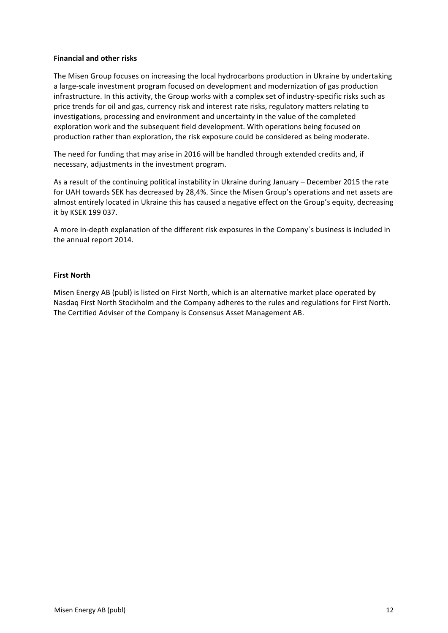# **Financial and other risks**

The Misen Group focuses on increasing the local hydrocarbons production in Ukraine by undertaking a large-scale investment program focused on development and modernization of gas production infrastructure. In this activity, the Group works with a complex set of industry-specific risks such as price trends for oil and gas, currency risk and interest rate risks, regulatory matters relating to investigations, processing and environment and uncertainty in the value of the completed exploration work and the subsequent field development. With operations being focused on production rather than exploration, the risk exposure could be considered as being moderate.

The need for funding that may arise in 2016 will be handled through extended credits and, if necessary, adjustments in the investment program.

As a result of the continuing political instability in Ukraine during January – December 2015 the rate for UAH towards SEK has decreased by 28,4%. Since the Misen Group's operations and net assets are almost entirely located in Ukraine this has caused a negative effect on the Group's equity, decreasing it by KSEK 199 037.

A more in-depth explanation of the different risk exposures in the Company's business is included in the annual report 2014.

#### **First North**

Misen Energy AB (publ) is listed on First North, which is an alternative market place operated by Nasdaq First North Stockholm and the Company adheres to the rules and regulations for First North. The Certified Adviser of the Company is Consensus Asset Management AB.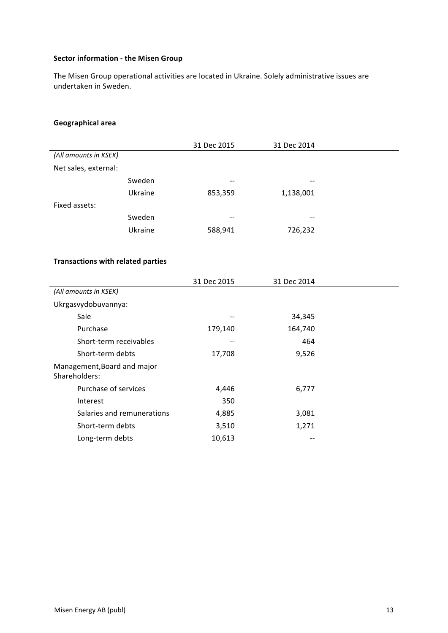# **Sector information - the Misen Group**

The Misen Group operational activities are located in Ukraine. Solely administrative issues are undertaken in Sweden.

# **Geographical area**

|                       |         | 31 Dec 2015 | 31 Dec 2014 |
|-----------------------|---------|-------------|-------------|
| (All amounts in KSEK) |         |             |             |
| Net sales, external:  |         |             |             |
|                       | Sweden  | --          | --          |
|                       | Ukraine | 853,359     | 1,138,001   |
| Fixed assets:         |         |             |             |
|                       | Sweden  | $- -$       | --          |
|                       | Ukraine | 588,941     | 726,232     |
|                       |         |             |             |

# **Transactions with related parties**

|                                              | 31 Dec 2015 | 31 Dec 2014 |  |
|----------------------------------------------|-------------|-------------|--|
| (All amounts in KSEK)                        |             |             |  |
| Ukrgasvydobuvannya:                          |             |             |  |
| Sale                                         | --          | 34,345      |  |
| Purchase                                     | 179,140     | 164,740     |  |
| Short-term receivables                       | --          | 464         |  |
| Short-term debts                             | 17,708      | 9,526       |  |
| Management, Board and major<br>Shareholders: |             |             |  |
| Purchase of services                         | 4,446       | 6,777       |  |
| Interest                                     | 350         |             |  |
| Salaries and remunerations                   | 4,885       | 3,081       |  |
| Short-term debts                             | 3,510       | 1,271       |  |
| Long-term debts                              | 10,613      |             |  |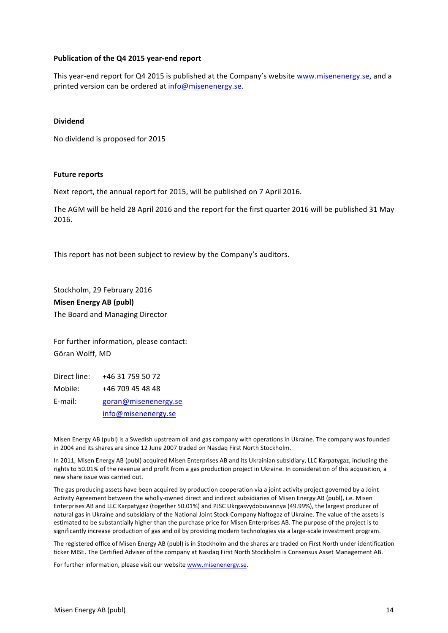# **Publication of the Q4 2015 year-end report**

This year-end report for Q4 2015 is published at the Company's website www.misenenergy.se, and a printed version can be ordered at info@misenenergy.se.

## **Dividend**

No dividend is proposed for 2015

#### **Future reports**

Next report, the annual report for 2015, will be published on 7 April 2016.

The AGM will be held 28 April 2016 and the report for the first quarter 2016 will be published 31 May 2016.

This report has not been subject to review by the Company's auditors.

Stockholm, 29 February 2016 **Misen Energy AB (publ)** The Board and Managing Director

For further information, please contact: Göran Wolff, MD

Direct line: +46 31 759 50 72 Mobile: +46 709 45 48 48 E-mail: goran@misenenergy.se info@misenenergy.se

Misen Energy AB (publ) is a Swedish upstream oil and gas company with operations in Ukraine. The company was founded in 2004 and its shares are since 12 June 2007 traded on Nasdaq First North Stockholm.

In 2011, Misen Energy AB (publ) acquired Misen Enterprises AB and its Ukrainian subsidiary, LLC Karpatygaz, including the rights to 50.01% of the revenue and profit from a gas production project in Ukraine. In consideration of this acquisition, a new share issue was carried out.

The gas producing assets have been acquired by production cooperation via a joint activity project governed by a Joint Activity Agreement between the wholly-owned direct and indirect subsidiaries of Misen Energy AB (publ), i.e. Misen Enterprises AB and LLC Karpatygaz (together 50.01%) and PJSC Ukrgasvydobuvannya (49.99%), the largest producer of natural gas in Ukraine and subsidiary of the National Joint Stock Company Naftogaz of Ukraine. The value of the assets is estimated to be substantially higher than the purchase price for Misen Enterprises AB. The purpose of the project is to significantly increase production of gas and oil by providing modern technologies via a large-scale investment program.

The registered office of Misen Energy AB (publ) is in Stockholm and the shares are traded on First North under identification ticker MISE. The Certified Adviser of the company at Nasdaq First North Stockholm is Consensus Asset Management AB.

For further information, please visit our website www.misenenergy.se.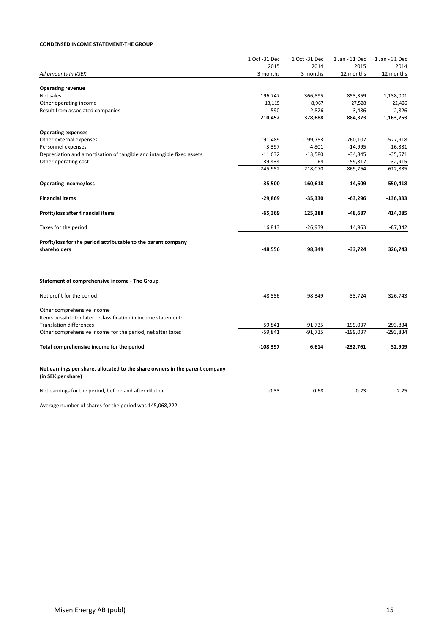#### **CONDENSED INCOME STATEMENT-THE GROUP**

|                                                                                                   | 1 Oct -31 Dec | 1 Oct -31 Dec | 1 Jan - 31 Dec | 1 Jan - 31 Dec |
|---------------------------------------------------------------------------------------------------|---------------|---------------|----------------|----------------|
|                                                                                                   | 2015          | 2014          | 2015           | 2014           |
| All amounts in KSEK                                                                               | 3 months      | 3 months      | 12 months      | 12 months      |
|                                                                                                   |               |               |                |                |
| <b>Operating revenue</b>                                                                          |               |               |                |                |
| Net sales                                                                                         | 196,747       | 366,895       | 853,359        | 1,138,001      |
| Other operating income                                                                            | 13,115        | 8,967         | 27,528         | 22,426         |
| Result from associated companies                                                                  | 590           | 2,826         | 3,486          | 2,826          |
|                                                                                                   | 210,452       | 378,688       | 884,373        | 1,163,253      |
| <b>Operating expenses</b>                                                                         |               |               |                |                |
| Other external expenses                                                                           | $-191,489$    | $-199,753$    | $-760,107$     | $-527,918$     |
| Personnel expenses                                                                                | $-3,397$      | $-4,801$      | $-14,995$      | $-16,331$      |
| Depreciation and amortisation of tangible and intangible fixed assets                             | $-11,632$     | $-13,580$     | $-34,845$      | $-35,671$      |
| Other operating cost                                                                              | $-39,434$     | 64            | $-59,817$      | $-32,915$      |
|                                                                                                   | $-245,952$    | $-218,070$    | $-869,764$     | $-612,835$     |
|                                                                                                   |               |               |                |                |
| <b>Operating income/loss</b>                                                                      | $-35,500$     | 160,618       | 14,609         | 550,418        |
| <b>Financial items</b>                                                                            | $-29,869$     | $-35,330$     | $-63,296$      | $-136,333$     |
|                                                                                                   |               |               |                |                |
| Profit/loss after financial items                                                                 | $-65,369$     | 125,288       | -48,687        | 414,085        |
| Taxes for the period                                                                              | 16,813        | $-26,939$     | 14,963         | $-87,342$      |
|                                                                                                   |               |               |                |                |
| Profit/loss for the period attributable to the parent company<br>shareholders                     | -48,556       | 98,349        | $-33,724$      | 326,743        |
|                                                                                                   |               |               |                |                |
|                                                                                                   |               |               |                |                |
| Statement of comprehensive income - The Group                                                     |               |               |                |                |
|                                                                                                   |               |               |                |                |
| Net profit for the period                                                                         | $-48,556$     | 98,349        | $-33,724$      | 326,743        |
| Other comprehensive income                                                                        |               |               |                |                |
| Items possible for later reclassification in income statement:                                    |               |               |                |                |
| <b>Translation differences</b>                                                                    | $-59,841$     | $-91,735$     | $-199,037$     | -293,834       |
| Other comprehensive income for the period, net after taxes                                        | $-59,841$     | $-91,735$     | $-199,037$     | -293,834       |
|                                                                                                   |               |               |                |                |
| Total comprehensive income for the period                                                         | $-108,397$    | 6,614         | $-232,761$     | 32,909         |
|                                                                                                   |               |               |                |                |
| Net earnings per share, allocated to the share owners in the parent company<br>(in SEK per share) |               |               |                |                |
| Net earnings for the period, before and after dilution                                            | $-0.33$       | 0.68          | $-0.23$        | 2.25           |
| Average number of shares for the period was 145,068,222                                           |               |               |                |                |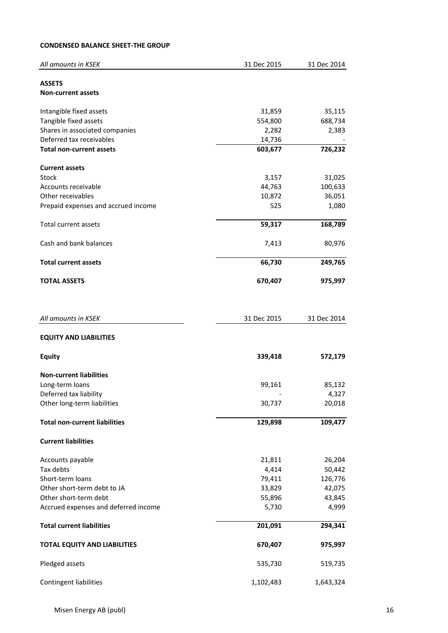# **CONDENSED BALANCE SHEET-THE GROUP**

| All amounts in KSEK                  | 31 Dec 2015 | 31 Dec 2014 |
|--------------------------------------|-------------|-------------|
|                                      |             |             |
| <b>ASSETS</b>                        |             |             |
| <b>Non-current assets</b>            |             |             |
| Intangible fixed assets              | 31,859      | 35,115      |
| Tangible fixed assets                | 554,800     | 688,734     |
| Shares in associated companies       | 2,282       | 2,383       |
| Deferred tax receivables             | 14,736      |             |
| <b>Total non-current assets</b>      | 603,677     | 726,232     |
|                                      |             |             |
| <b>Current assets</b><br>Stock       | 3,157       | 31,025      |
| Accounts receivable                  | 44,763      | 100,633     |
| Other receivables                    | 10,872      | 36,051      |
| Prepaid expenses and accrued income  | 525         | 1,080       |
|                                      |             |             |
| <b>Total current assets</b>          | 59,317      | 168,789     |
| Cash and bank balances               | 7,413       | 80,976      |
| <b>Total current assets</b>          | 66,730      | 249,765     |
| <b>TOTAL ASSETS</b>                  | 670,407     | 975,997     |
|                                      |             |             |
|                                      |             |             |
| All amounts in KSEK                  | 31 Dec 2015 | 31 Dec 2014 |
| <b>EQUITY AND LIABILITIES</b>        |             |             |
| <b>Equity</b>                        | 339,418     | 572,179     |
|                                      |             |             |
| <b>Non-current liabilities</b>       |             |             |
| Long-term loans                      | 99,161      | 85,132      |
| Deferred tax liability               |             | 4,327       |
| Other long-term liabilities          | 30,737      | 20,018      |
| <b>Total non-current liabilities</b> | 129,898     | 109,477     |
|                                      |             |             |
| <b>Current liabilities</b>           |             |             |
| Accounts payable                     | 21,811      | 26,204      |
| Tax debts                            | 4,414       | 50,442      |
| Short-term loans                     | 79,411      | 126,776     |
| Other short-term debt to JA          | 33,829      | 42,075      |
| Other short-term debt                | 55,896      | 43,845      |
| Accrued expenses and deferred income | 5,730       | 4,999       |
| <b>Total current liabilities</b>     | 201,091     | 294,341     |
|                                      |             |             |
| <b>TOTAL EQUITY AND LIABILITIES</b>  | 670,407     | 975,997     |
| Pledged assets                       | 535,730     | 519,735     |
| Contingent liabilities               | 1,102,483   | 1,643,324   |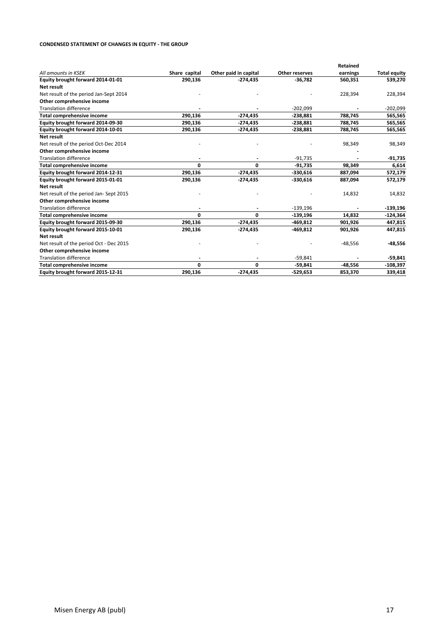#### **CONDENSED STATEMENT OF CHANGES IN EQUITY - THE GROUP**

|                                         |               |                       |                | <b>Retained</b> |                     |
|-----------------------------------------|---------------|-----------------------|----------------|-----------------|---------------------|
| All amounts in KSEK                     | Share capital | Other paid in capital | Other reserves | earnings        | <b>Total equity</b> |
| Equity brought forward 2014-01-01       | 290,136       | $-274,435$            | $-36,782$      | 560,351         | 539,270             |
| Net result                              |               |                       |                |                 |                     |
| Net result of the period Jan-Sept 2014  |               |                       |                | 228,394         | 228,394             |
| Other comprehensive income              |               |                       |                |                 |                     |
| <b>Translation difference</b>           |               |                       | $-202,099$     |                 | $-202,099$          |
| Total comprehensive income              | 290,136       | $-274,435$            | $-238,881$     | 788,745         | 565,565             |
| Equity brought forward 2014-09-30       | 290,136       | $-274,435$            | $-238,881$     | 788,745         | 565,565             |
| Equity brought forward 2014-10-01       | 290,136       | $-274,435$            | $-238,881$     | 788,745         | 565,565             |
| Net result                              |               |                       |                |                 |                     |
| Net result of the period Oct-Dec 2014   |               |                       |                | 98,349          | 98,349              |
| Other comprehensive income              |               |                       |                |                 |                     |
| <b>Translation difference</b>           |               |                       | $-91,735$      |                 | $-91,735$           |
| Total comprehensive income              | 0             | 0                     | $-91,735$      | 98,349          | 6,614               |
| Equity brought forward 2014-12-31       | 290,136       | $-274,435$            | $-330,616$     | 887,094         | 572,179             |
| Equity brought forward 2015-01-01       | 290,136       | $-274,435$            | $-330,616$     | 887,094         | 572,179             |
| Net result                              |               |                       |                |                 |                     |
| Net result of the period Jan-Sept 2015  |               |                       |                | 14,832          | 14,832              |
| Other comprehensive income              |               |                       |                |                 |                     |
| <b>Translation difference</b>           |               |                       | $-139,196$     |                 | $-139,196$          |
| Total comprehensive income              | 0             | 0                     | $-139,196$     | 14,832          | $-124,364$          |
| Equity brought forward 2015-09-30       | 290,136       | $-274,435$            | $-469,812$     | 901,926         | 447,815             |
| Equity brought forward 2015-10-01       | 290,136       | $-274,435$            | $-469,812$     | 901,926         | 447,815             |
| Net result                              |               |                       |                |                 |                     |
| Net result of the period Oct - Dec 2015 |               |                       |                | $-48,556$       | $-48,556$           |
| Other comprehensive income              |               |                       |                |                 |                     |
| <b>Translation difference</b>           |               |                       | $-59,841$      |                 | $-59,841$           |
| <b>Total comprehensive income</b>       | 0             | 0                     | $-59,841$      | $-48,556$       | $-108,397$          |
| Equity brought forward 2015-12-31       | 290,136       | $-274.435$            | $-529,653$     | 853,370         | 339,418             |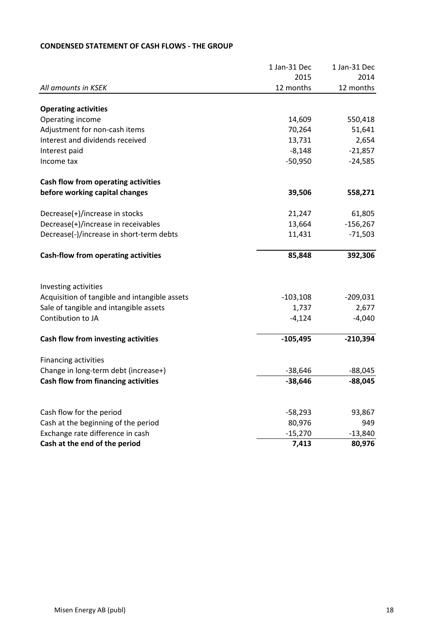# 1 Jan-31 Dec 1 Jan-31 Dec 2015 2014 *All amounts in KSEK* **12** months 12 months 12 months 12 months **Operating activities** Operating income 550,418 Adjustment for non-cash items  $70,264$  51,641 Interest and dividends received 13,731 2,654  $\blacksquare$  Interest paid  $\blacksquare$  -21,857  $I$ ncome tax  $-24,585$ **Cash flow from operating activities before working capital changes 1996 558,271** Decrease(+)/increase in stocks 21,247 61,805 Decrease(+)/increase in receivables 13,664 -156,267 Decrease(-)/increase in short-term debts 11,431 -71,503 **Cash-flow from operating activities 85,848 392,306** Investing activities Acquisition of tangible and intangible assets -103,108 -209,031 Sale of tangible and intangible assets 1,737 2,677  $\sim$  -4,124  $\sim$  -4,040 **Cash flow from investing activities 105,495 -210,394** Financing activities Change in long-term debt (increase+)  $-38,646$  -88,045 **Cash flow from financing activities 1988 1998 128,646 -88,045 -88,045** Cash flow for the period example 2012 12:00 12:00 12:00 13:00 13:00 13:00 13:00 13:00 13:00 13:00 13:00 14:00 1 Cash at the beginning of the period 80,976 80,976 Exchange rate difference in cash  $-15,270$  -13,840 **Cash at the end of the period 1.413 80,976**

# **CONDENSED STATEMENT OF CASH FLOWS - THE GROUP**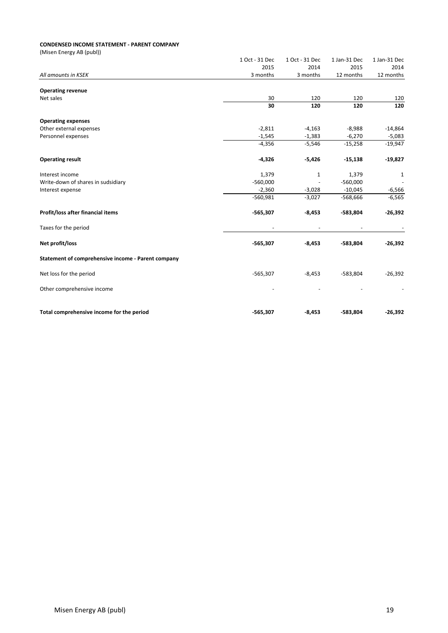#### **CONDENSED INCOME STATEMENT - PARENT COMPANY**

(Misen Energy AB (publ))

|                                                    | 1 Oct - 31 Dec | 1 Oct - 31 Dec | 1 Jan-31 Dec | 1 Jan-31 Dec |
|----------------------------------------------------|----------------|----------------|--------------|--------------|
|                                                    | 2015           | 2014           | 2015         | 2014         |
| All amounts in KSEK                                | 3 months       | 3 months       | 12 months    | 12 months    |
|                                                    |                |                |              |              |
| <b>Operating revenue</b><br>Net sales              | 30             | 120            | 120          |              |
|                                                    | 30             | 120            | 120          | 120<br>120   |
|                                                    |                |                |              |              |
| <b>Operating expenses</b>                          |                |                |              |              |
| Other external expenses                            | $-2,811$       | $-4,163$       | $-8,988$     | $-14,864$    |
| Personnel expenses                                 | $-1,545$       | $-1,383$       | $-6,270$     | $-5,083$     |
|                                                    | $-4,356$       | $-5,546$       | $-15,258$    | $-19,947$    |
| <b>Operating result</b>                            | $-4,326$       | $-5,426$       | $-15,138$    | $-19,827$    |
| Interest income                                    | 1,379          | 1              | 1,379        | $\mathbf{1}$ |
| Write-down of shares in sudsidiary                 | $-560,000$     |                | $-560,000$   |              |
| Interest expense                                   | $-2,360$       | $-3,028$       | $-10,045$    | $-6,566$     |
|                                                    | $-560,981$     | $-3,027$       | $-568,666$   | $-6,565$     |
| Profit/loss after financial items                  | $-565,307$     | $-8,453$       | -583,804     | $-26,392$    |
| Taxes for the period                               |                |                |              |              |
| Net profit/loss                                    | $-565,307$     | $-8,453$       | -583,804     | $-26,392$    |
| Statement of comprehensive income - Parent company |                |                |              |              |
| Net loss for the period                            | $-565,307$     | $-8,453$       | $-583,804$   | $-26,392$    |
| Other comprehensive income                         |                |                |              |              |
| Total comprehensive income for the period          | $-565,307$     | $-8,453$       | -583,804     | $-26,392$    |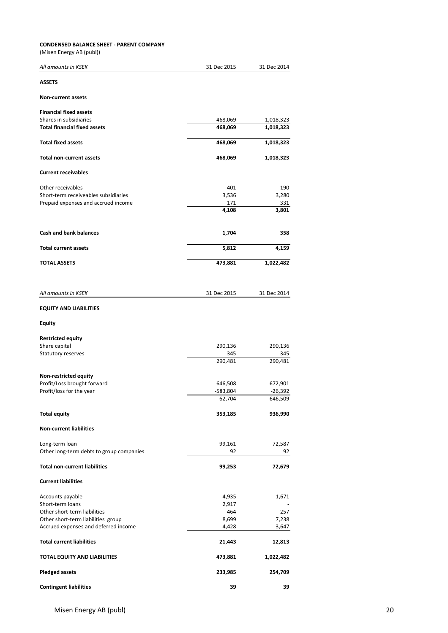| <b>CONDENSED BALANCE SHEET - PARENT COMPANY</b>               |                    |                        |
|---------------------------------------------------------------|--------------------|------------------------|
| (Misen Energy AB (publ))                                      |                    |                        |
| All amounts in KSEK                                           | 31 Dec 2015        | 31 Dec 2014            |
| <b>ASSETS</b>                                                 |                    |                        |
| <b>Non-current assets</b>                                     |                    |                        |
| <b>Financial fixed assets</b>                                 |                    |                        |
| Shares in subsidiaries<br><b>Total financial fixed assets</b> | 468,069<br>468,069 | 1,018,323<br>1,018,323 |
|                                                               |                    |                        |
| <b>Total fixed assets</b>                                     | 468,069            | 1,018,323              |
| <b>Total non-current assets</b>                               | 468,069            | 1,018,323              |
| <b>Current receivables</b>                                    |                    |                        |
| Other receivables                                             | 401                | 190                    |
| Short-term receiveables subsidiaries                          | 3,536              | 3,280                  |
| Prepaid expenses and accrued income                           | 171<br>4,108       | 331<br>3,801           |
|                                                               |                    |                        |
| <b>Cash and bank balances</b>                                 | 1,704              | 358                    |
| <b>Total current assets</b>                                   | 5,812              | 4,159                  |
| <b>TOTAL ASSETS</b>                                           | 473,881            | 1,022,482              |
|                                                               |                    |                        |
| All amounts in KSEK                                           | 31 Dec 2015        | 31 Dec 2014            |
| <b>EQUITY AND LIABILITIES</b>                                 |                    |                        |
| <b>Equity</b>                                                 |                    |                        |
| <b>Restricted equity</b>                                      |                    |                        |
| Share capital                                                 | 290,136            | 290,136                |
| Statutory reserves                                            | 345                | 345                    |
|                                                               | 290,481            | 290,481                |
| Non-restricted equity                                         |                    |                        |
| Profit/Loss brought forward                                   | 646,508            | 672,901                |
| Profit/loss for the year                                      | $-583,804$         | -26,392                |
|                                                               | 62,704             | 646,509                |
| <b>Total equity</b>                                           | 353,185            | 936,990                |
| <b>Non-current liabilities</b>                                |                    |                        |
| Long-term loan                                                | 99,161             | 72,587                 |
| Other long-term debts to group companies                      | 92                 | 92                     |
| <b>Total non-current liabilities</b>                          | 99,253             | 72,679                 |
| <b>Current liabilities</b>                                    |                    |                        |
| Accounts payable                                              | 4,935              | 1,671                  |
| Short-term loans                                              | 2,917              |                        |
| Other short-term liabilities                                  | 464                | 257                    |
| Other short-term liabilities group                            | 8,699              | 7,238                  |
| Accrued expenses and deferred income                          | 4,428              | 3,647                  |
| <b>Total current liabilities</b>                              | 21,443             | 12,813                 |
| TOTAL EQUITY AND LIABILITIES                                  | 473,881            | 1,022,482              |

**Pledged assets 233,985 254,709**

**Contingent liabilities 39 39 39**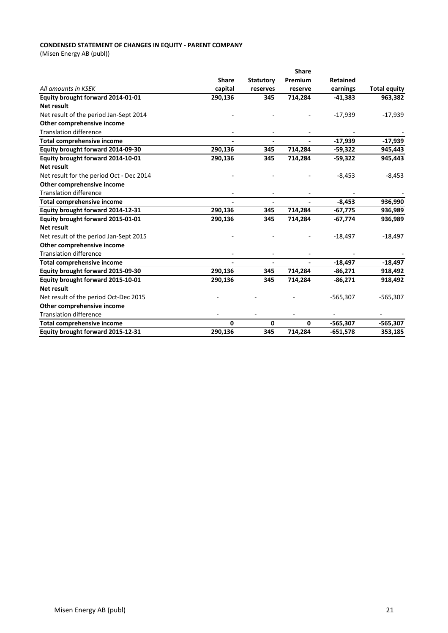# **CONDENSED STATEMENT OF CHANGES IN EQUITY - PARENT COMPANY**

(Misen Energy AB (publ))

|                                          |                |                          | <b>Share</b>   |                 |                     |
|------------------------------------------|----------------|--------------------------|----------------|-----------------|---------------------|
|                                          | <b>Share</b>   | <b>Statutory</b>         | Premium        | <b>Retained</b> |                     |
| All amounts in KSEK                      | capital        | reserves                 | reserve        | earnings        | <b>Total equity</b> |
| Equity brought forward 2014-01-01        | 290,136        | 345                      | 714,284        | $-41,383$       | 963,382             |
| <b>Net result</b>                        |                |                          |                |                 |                     |
| Net result of the period Jan-Sept 2014   |                |                          |                | $-17,939$       | $-17,939$           |
| Other comprehensive income               |                |                          |                |                 |                     |
| <b>Translation difference</b>            |                |                          |                |                 |                     |
| Total comprehensive income               | $\blacksquare$ | $\blacksquare$           | $\blacksquare$ | $-17,939$       | $-17,939$           |
| Equity brought forward 2014-09-30        | 290,136        | 345                      | 714,284        | $-59,322$       | 945,443             |
| Equity brought forward 2014-10-01        | 290,136        | 345                      | 714,284        | $-59,322$       | 945,443             |
| <b>Net result</b>                        |                |                          |                |                 |                     |
| Net result for the period Oct - Dec 2014 |                |                          |                | $-8,453$        | $-8,453$            |
| Other comprehensive income               |                |                          |                |                 |                     |
| <b>Translation difference</b>            |                |                          |                |                 |                     |
| <b>Total comprehensive income</b>        |                |                          |                | $-8,453$        | 936,990             |
| Equity brought forward 2014-12-31        | 290,136        | 345                      | 714,284        | $-67,775$       | 936,989             |
| Equity brought forward 2015-01-01        | 290,136        | 345                      | 714,284        | $-67,774$       | 936,989             |
| <b>Net result</b>                        |                |                          |                |                 |                     |
| Net result of the period Jan-Sept 2015   |                |                          |                | $-18,497$       | $-18,497$           |
| Other comprehensive income               |                |                          |                |                 |                     |
| <b>Translation difference</b>            |                |                          |                |                 |                     |
| Total comprehensive income               | $\blacksquare$ | $\overline{\phantom{0}}$ | $\blacksquare$ | -18,497         | $-18,497$           |
| Equity brought forward 2015-09-30        | 290,136        | 345                      | 714,284        | $-86,271$       | 918,492             |
| Equity brought forward 2015-10-01        | 290,136        | 345                      | 714,284        | $-86,271$       | 918,492             |
| Net result                               |                |                          |                |                 |                     |
| Net result of the period Oct-Dec 2015    |                |                          |                | $-565,307$      | $-565,307$          |
| Other comprehensive income               |                |                          |                |                 |                     |
| <b>Translation difference</b>            |                |                          |                |                 |                     |
| Total comprehensive income               | 0              | 0                        | 0              | $-565,307$      | -565,307            |
| Equity brought forward 2015-12-31        | 290,136        | 345                      | 714,284        | $-651,578$      | 353,185             |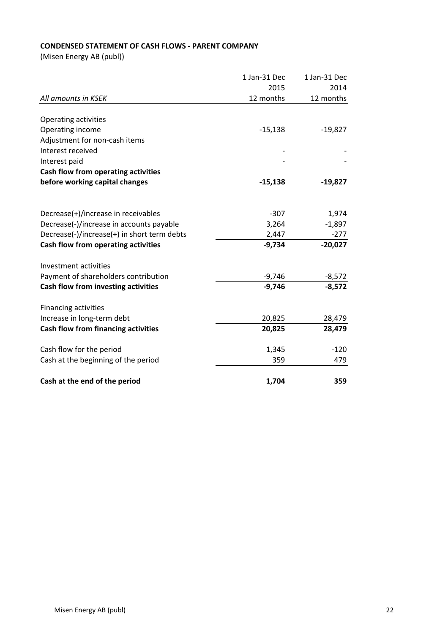# **CONDENSED STATEMENT OF CASH FLOWS - PARENT COMPANY**

(Misen Energy AB (publ))

|                                             | 1 Jan-31 Dec | 1 Jan-31 Dec            |
|---------------------------------------------|--------------|-------------------------|
|                                             | 2015         | 2014                    |
| All amounts in KSEK                         | 12 months    | 12 months               |
|                                             |              |                         |
| Operating activities                        |              |                         |
| Operating income                            | $-15,138$    | $-19,827$               |
| Adjustment for non-cash items               |              |                         |
| Interest received                           |              |                         |
| Interest paid                               |              |                         |
| Cash flow from operating activities         |              |                         |
| before working capital changes              | $-15,138$    | $-19,827$               |
|                                             |              |                         |
|                                             |              |                         |
| Decrease(+)/increase in receivables         | $-307$       | 1,974                   |
| Decrease(-)/increase in accounts payable    | 3,264        | $-1,897$                |
| Decrease(-)/increase(+) in short term debts | 2,447        | $-277$                  |
| Cash flow from operating activities         | $-9,734$     | $-20,027$               |
|                                             |              |                         |
| Investment activities                       |              |                         |
| Payment of shareholders contribution        | $-9,746$     | $\frac{-8,572}{-8,572}$ |
| Cash flow from investing activities         | $-9,746$     |                         |
|                                             |              |                         |
| <b>Financing activities</b>                 |              |                         |
| Increase in long-term debt                  | 20,825       | 28,479                  |
| <b>Cash flow from financing activities</b>  | 20,825       | 28,479                  |
| Cash flow for the period                    | 1,345        | $-120$                  |
| Cash at the beginning of the period         | 359          | 479                     |
|                                             |              |                         |
| Cash at the end of the period               | 1,704        | 359                     |